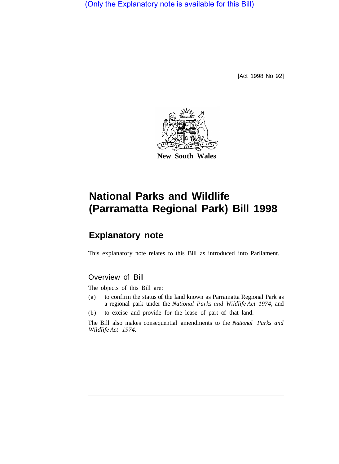(Only the Explanatory note is available for this Bill)

[Act 1998 No 92]



# **National Parks and Wildlife (Parramatta Regional Park) Bill 1998**

## **Explanatory note**

This explanatory note relates to this Bill as introduced into Parliament.

### Overview of Bill

The objects of this Bill are:

- (a) to confirm the status of the land known as Parramatta Regional Park as a regional park under the *National Parks and Wildlife Act 1974,* and
- (b) to excise and provide for the lease of part of that land.

The Bill also makes consequential amendments to the *National Parks and Wildlife Act 1974.*